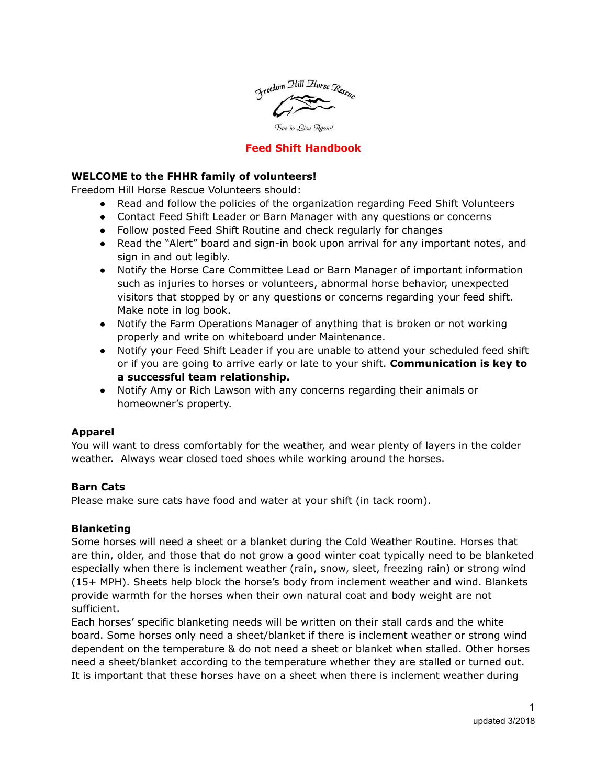

Free to Live Again!

#### **Feed Shift Handbook**

#### **WELCOME to the FHHR family of volunteers!**

Freedom Hill Horse Rescue Volunteers should:

- Read and follow the policies of the organization regarding Feed Shift Volunteers
- Contact Feed Shift Leader or Barn Manager with any questions or concerns
- Follow posted Feed Shift Routine and check regularly for changes
- Read the "Alert" board and sign-in book upon arrival for any important notes, and sign in and out legibly.
- Notify the Horse Care Committee Lead or Barn Manager of important information such as injuries to horses or volunteers, abnormal horse behavior, unexpected visitors that stopped by or any questions or concerns regarding your feed shift. Make note in log book.
- Notify the Farm Operations Manager of anything that is broken or not working properly and write on whiteboard under Maintenance.
- Notify your Feed Shift Leader if you are unable to attend your scheduled feed shift or if you are going to arrive early or late to your shift. **Communication is key to a successful team relationship.**
- Notify Amy or Rich Lawson with any concerns regarding their animals or homeowner's property.

#### **Apparel**

You will want to dress comfortably for the weather, and wear plenty of layers in the colder weather. Always wear closed toed shoes while working around the horses.

#### **Barn Cats**

Please make sure cats have food and water at your shift (in tack room).

#### **Blanketing**

Some horses will need a sheet or a blanket during the Cold Weather Routine. Horses that are thin, older, and those that do not grow a good winter coat typically need to be blanketed especially when there is inclement weather (rain, snow, sleet, freezing rain) or strong wind (15+ MPH). Sheets help block the horse's body from inclement weather and wind. Blankets provide warmth for the horses when their own natural coat and body weight are not sufficient.

Each horses' specific blanketing needs will be written on their stall cards and the white board. Some horses only need a sheet/blanket if there is inclement weather or strong wind dependent on the temperature & do not need a sheet or blanket when stalled. Other horses need a sheet/blanket according to the temperature whether they are stalled or turned out. It is important that these horses have on a sheet when there is inclement weather during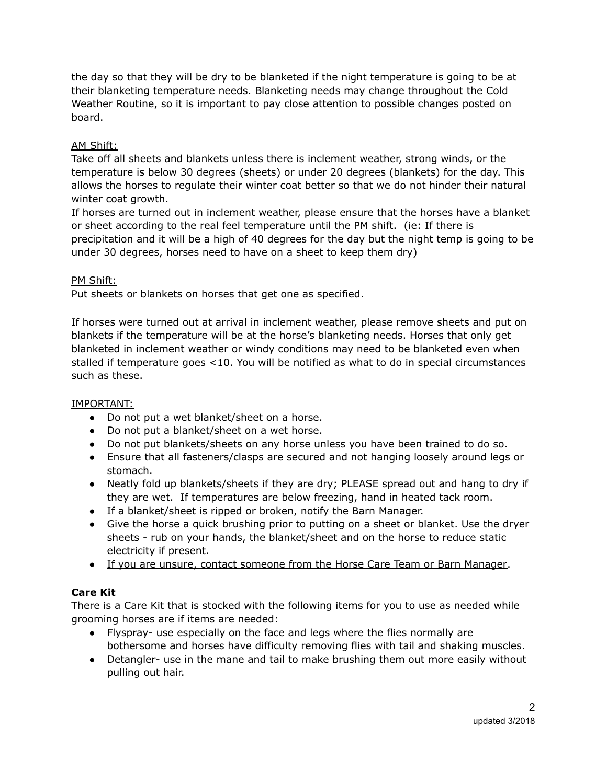the day so that they will be dry to be blanketed if the night temperature is going to be at their blanketing temperature needs. Blanketing needs may change throughout the Cold Weather Routine, so it is important to pay close attention to possible changes posted on board.

## AM Shift:

Take off all sheets and blankets unless there is inclement weather, strong winds, or the temperature is below 30 degrees (sheets) or under 20 degrees (blankets) for the day. This allows the horses to regulate their winter coat better so that we do not hinder their natural winter coat growth.

If horses are turned out in inclement weather, please ensure that the horses have a blanket or sheet according to the real feel temperature until the PM shift. (ie: If there is precipitation and it will be a high of 40 degrees for the day but the night temp is going to be under 30 degrees, horses need to have on a sheet to keep them dry)

### PM Shift:

Put sheets or blankets on horses that get one as specified.

If horses were turned out at arrival in inclement weather, please remove sheets and put on blankets if the temperature will be at the horse's blanketing needs. Horses that only get blanketed in inclement weather or windy conditions may need to be blanketed even when stalled if temperature goes <10. You will be notified as what to do in special circumstances such as these.

### IMPORTANT:

- Do not put a wet blanket/sheet on a horse.
- Do not put a blanket/sheet on a wet horse.
- Do not put blankets/sheets on any horse unless you have been trained to do so.
- Ensure that all fasteners/clasps are secured and not hanging loosely around legs or stomach.
- Neatly fold up blankets/sheets if they are dry; PLEASE spread out and hang to dry if they are wet. If temperatures are below freezing, hand in heated tack room.
- If a blanket/sheet is ripped or broken, notify the Barn Manager.
- Give the horse a quick brushing prior to putting on a sheet or blanket. Use the dryer sheets - rub on your hands, the blanket/sheet and on the horse to reduce static electricity if present.
- If you are unsure, contact someone from the Horse Care Team or Barn Manager.

# **Care Kit**

There is a Care Kit that is stocked with the following items for you to use as needed while grooming horses are if items are needed:

- Flyspray- use especially on the face and legs where the flies normally are bothersome and horses have difficulty removing flies with tail and shaking muscles.
- Detangler- use in the mane and tail to make brushing them out more easily without pulling out hair.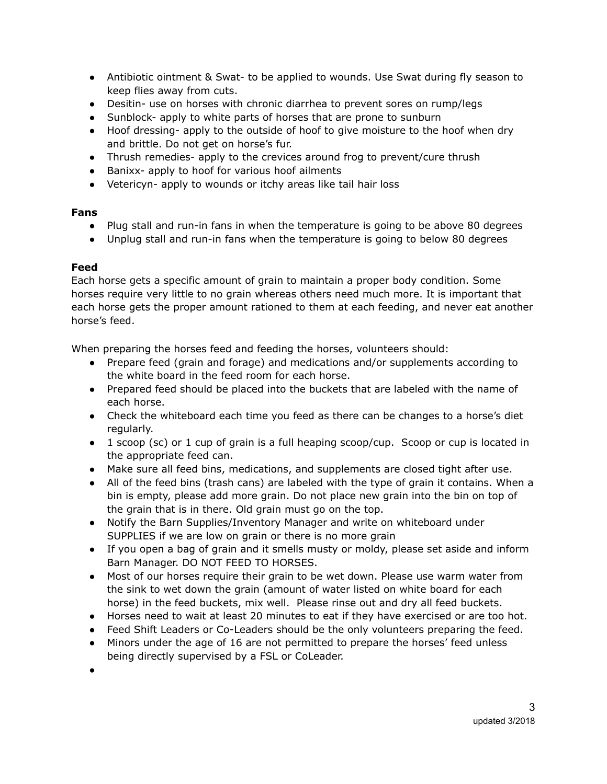- Antibiotic ointment & Swat- to be applied to wounds. Use Swat during fly season to keep flies away from cuts.
- Desitin- use on horses with chronic diarrhea to prevent sores on rump/legs
- Sunblock- apply to white parts of horses that are prone to sunburn
- Hoof dressing- apply to the outside of hoof to give moisture to the hoof when dry and brittle. Do not get on horse's fur.
- Thrush remedies- apply to the crevices around frog to prevent/cure thrush
- Banixx- apply to hoof for various hoof ailments
- Vetericyn- apply to wounds or itchy areas like tail hair loss

## **Fans**

- Plug stall and run-in fans in when the temperature is going to be above 80 degrees
- Unplug stall and run-in fans when the temperature is going to below 80 degrees

# **Feed**

Each horse gets a specific amount of grain to maintain a proper body condition. Some horses require very little to no grain whereas others need much more. It is important that each horse gets the proper amount rationed to them at each feeding, and never eat another horse's feed.

When preparing the horses feed and feeding the horses, volunteers should:

- Prepare feed (grain and forage) and medications and/or supplements according to the white board in the feed room for each horse.
- Prepared feed should be placed into the buckets that are labeled with the name of each horse.
- Check the whiteboard each time you feed as there can be changes to a horse's diet regularly.
- 1 scoop (sc) or 1 cup of grain is a full heaping scoop/cup. Scoop or cup is located in the appropriate feed can.
- Make sure all feed bins, medications, and supplements are closed tight after use.
- All of the feed bins (trash cans) are labeled with the type of grain it contains. When a bin is empty, please add more grain. Do not place new grain into the bin on top of the grain that is in there. Old grain must go on the top.
- Notify the Barn Supplies/Inventory Manager and write on whiteboard under SUPPLIES if we are low on grain or there is no more grain
- If you open a bag of grain and it smells musty or moldy, please set aside and inform Barn Manager. DO NOT FEED TO HORSES.
- Most of our horses require their grain to be wet down. Please use warm water from the sink to wet down the grain (amount of water listed on white board for each horse) in the feed buckets, mix well. Please rinse out and dry all feed buckets.
- Horses need to wait at least 20 minutes to eat if they have exercised or are too hot.
- Feed Shift Leaders or Co-Leaders should be the only volunteers preparing the feed.
- Minors under the age of 16 are not permitted to prepare the horses' feed unless being directly supervised by a FSL or CoLeader.
- ●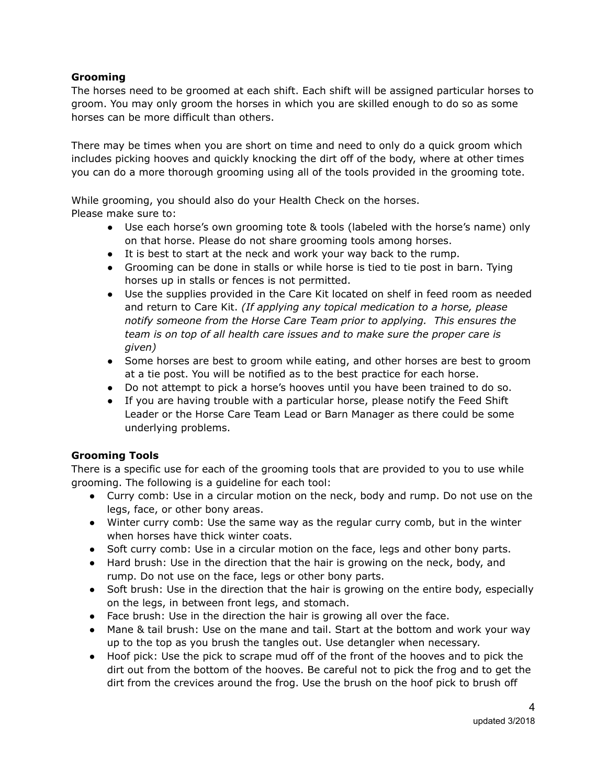### **Grooming**

The horses need to be groomed at each shift. Each shift will be assigned particular horses to groom. You may only groom the horses in which you are skilled enough to do so as some horses can be more difficult than others.

There may be times when you are short on time and need to only do a quick groom which includes picking hooves and quickly knocking the dirt off of the body, where at other times you can do a more thorough grooming using all of the tools provided in the grooming tote.

While grooming, you should also do your Health Check on the horses. Please make sure to:

- Use each horse's own grooming tote & tools (labeled with the horse's name) only on that horse. Please do not share grooming tools among horses.
- It is best to start at the neck and work your way back to the rump.
- Grooming can be done in stalls or while horse is tied to tie post in barn. Tying horses up in stalls or fences is not permitted.
- Use the supplies provided in the Care Kit located on shelf in feed room as needed and return to Care Kit. *(If applying any topical medication to a horse, please notify someone from the Horse Care Team prior to applying. This ensures the team is on top of all health care issues and to make sure the proper care is given)*
- Some horses are best to groom while eating, and other horses are best to groom at a tie post. You will be notified as to the best practice for each horse.
- Do not attempt to pick a horse's hooves until you have been trained to do so.
- If you are having trouble with a particular horse, please notify the Feed Shift Leader or the Horse Care Team Lead or Barn Manager as there could be some underlying problems.

### **Grooming Tools**

There is a specific use for each of the grooming tools that are provided to you to use while grooming. The following is a guideline for each tool:

- Curry comb: Use in a circular motion on the neck, body and rump. Do not use on the legs, face, or other bony areas.
- Winter curry comb: Use the same way as the regular curry comb, but in the winter when horses have thick winter coats.
- Soft curry comb: Use in a circular motion on the face, legs and other bony parts.
- Hard brush: Use in the direction that the hair is growing on the neck, body, and rump. Do not use on the face, legs or other bony parts.
- Soft brush: Use in the direction that the hair is growing on the entire body, especially on the legs, in between front legs, and stomach.
- Face brush: Use in the direction the hair is growing all over the face.
- Mane & tail brush: Use on the mane and tail. Start at the bottom and work your way up to the top as you brush the tangles out. Use detangler when necessary.
- Hoof pick: Use the pick to scrape mud off of the front of the hooves and to pick the dirt out from the bottom of the hooves. Be careful not to pick the frog and to get the dirt from the crevices around the frog. Use the brush on the hoof pick to brush off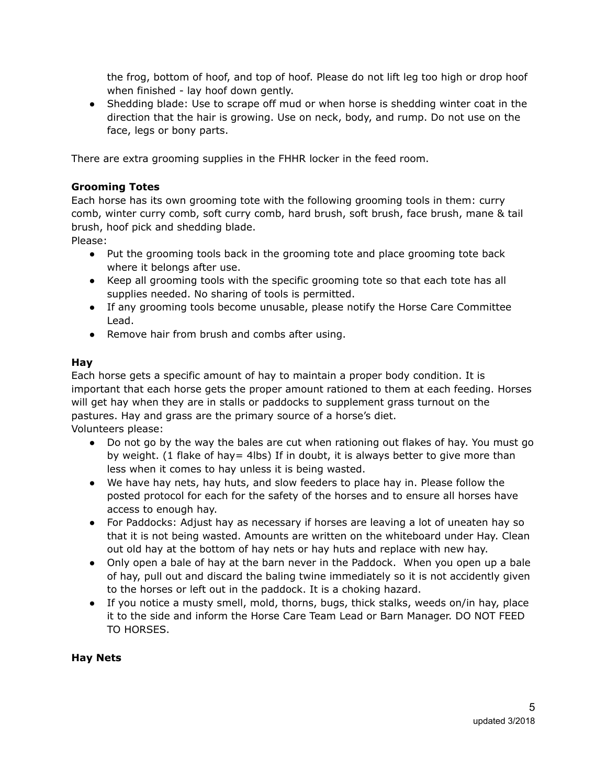the frog, bottom of hoof, and top of hoof. Please do not lift leg too high or drop hoof when finished - lay hoof down gently.

• Shedding blade: Use to scrape off mud or when horse is shedding winter coat in the direction that the hair is growing. Use on neck, body, and rump. Do not use on the face, legs or bony parts.

There are extra grooming supplies in the FHHR locker in the feed room.

# **Grooming Totes**

Each horse has its own grooming tote with the following grooming tools in them: curry comb, winter curry comb, soft curry comb, hard brush, soft brush, face brush, mane & tail brush, hoof pick and shedding blade.

Please:

- Put the grooming tools back in the grooming tote and place grooming tote back where it belongs after use.
- Keep all grooming tools with the specific grooming tote so that each tote has all supplies needed. No sharing of tools is permitted.
- If any grooming tools become unusable, please notify the Horse Care Committee Lead.
- Remove hair from brush and combs after using.

## **Hay**

Each horse gets a specific amount of hay to maintain a proper body condition. It is important that each horse gets the proper amount rationed to them at each feeding. Horses will get hay when they are in stalls or paddocks to supplement grass turnout on the pastures. Hay and grass are the primary source of a horse's diet. Volunteers please:

- Do not go by the way the bales are cut when rationing out flakes of hay. You must go by weight. (1 flake of hay= 4lbs) If in doubt, it is always better to give more than less when it comes to hay unless it is being wasted.
- We have hay nets, hay huts, and slow feeders to place hay in. Please follow the posted protocol for each for the safety of the horses and to ensure all horses have access to enough hay.
- For Paddocks: Adjust hay as necessary if horses are leaving a lot of uneaten hay so that it is not being wasted. Amounts are written on the whiteboard under Hay. Clean out old hay at the bottom of hay nets or hay huts and replace with new hay.
- Only open a bale of hay at the barn never in the Paddock. When you open up a bale of hay, pull out and discard the baling twine immediately so it is not accidently given to the horses or left out in the paddock. It is a choking hazard.
- If you notice a musty smell, mold, thorns, bugs, thick stalks, weeds on/in hay, place it to the side and inform the Horse Care Team Lead or Barn Manager. DO NOT FEED TO HORSES.

# **Hay Nets**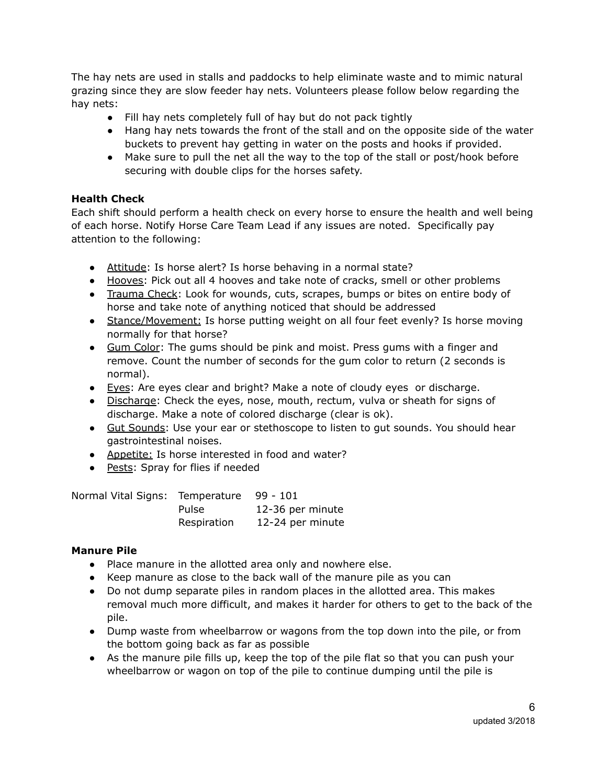The hay nets are used in stalls and paddocks to help eliminate waste and to mimic natural grazing since they are slow feeder hay nets. Volunteers please follow below regarding the hay nets:

- Fill hay nets completely full of hay but do not pack tightly
- Hang hay nets towards the front of the stall and on the opposite side of the water buckets to prevent hay getting in water on the posts and hooks if provided.
- Make sure to pull the net all the way to the top of the stall or post/hook before securing with double clips for the horses safety.

# **Health Check**

Each shift should perform a health check on every horse to ensure the health and well being of each horse. Notify Horse Care Team Lead if any issues are noted. Specifically pay attention to the following:

- Attitude: Is horse alert? Is horse behaving in a normal state?
- Hooves: Pick out all 4 hooves and take note of cracks, smell or other problems
- Trauma Check: Look for wounds, cuts, scrapes, bumps or bites on entire body of horse and take note of anything noticed that should be addressed
- Stance/Movement: Is horse putting weight on all four feet evenly? Is horse moving normally for that horse?
- Gum Color: The gums should be pink and moist. Press gums with a finger and remove. Count the number of seconds for the gum color to return (2 seconds is normal).
- Eyes: Are eyes clear and bright? Make a note of cloudy eyes or discharge.
- Discharge: Check the eyes, nose, mouth, rectum, vulva or sheath for signs of discharge. Make a note of colored discharge (clear is ok).
- Gut Sounds: Use your ear or stethoscope to listen to gut sounds. You should hear gastrointestinal noises.
- Appetite: Is horse interested in food and water?
- Pests: Spray for flies if needed

| Normal Vital Signs: Temperature |             | 99 - 101         |
|---------------------------------|-------------|------------------|
|                                 | Pulse       | 12-36 per minute |
|                                 | Respiration | 12-24 per minute |

### **Manure Pile**

- Place manure in the allotted area only and nowhere else.
- Keep manure as close to the back wall of the manure pile as you can
- Do not dump separate piles in random places in the allotted area. This makes removal much more difficult, and makes it harder for others to get to the back of the pile.
- Dump waste from wheelbarrow or wagons from the top down into the pile, or from the bottom going back as far as possible
- As the manure pile fills up, keep the top of the pile flat so that you can push your wheelbarrow or wagon on top of the pile to continue dumping until the pile is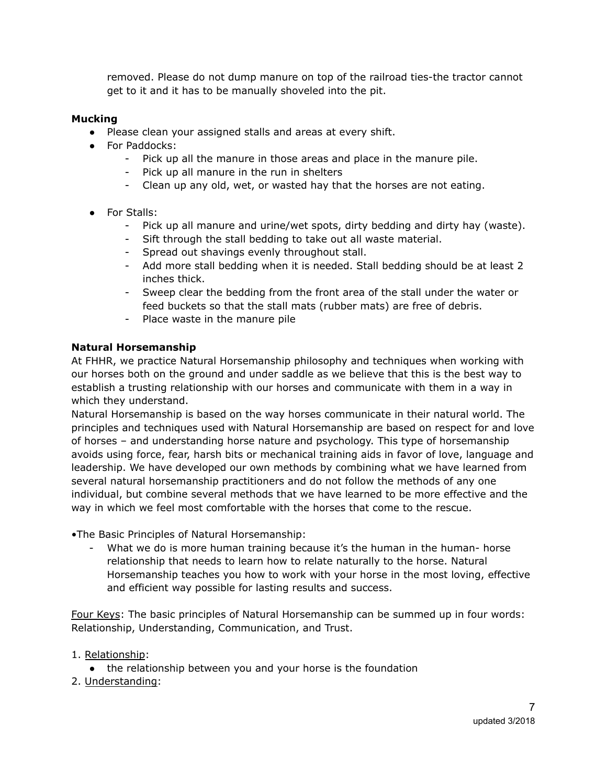removed. Please do not dump manure on top of the railroad ties-the tractor cannot get to it and it has to be manually shoveled into the pit.

#### **Mucking**

- Please clean your assigned stalls and areas at every shift.
- For Paddocks:
	- Pick up all the manure in those areas and place in the manure pile.
	- Pick up all manure in the run in shelters
	- Clean up any old, wet, or wasted hay that the horses are not eating.
- For Stalls:
	- Pick up all manure and urine/wet spots, dirty bedding and dirty hay (waste).
	- Sift through the stall bedding to take out all waste material.
	- Spread out shavings evenly throughout stall.
	- Add more stall bedding when it is needed. Stall bedding should be at least 2 inches thick.
	- Sweep clear the bedding from the front area of the stall under the water or feed buckets so that the stall mats (rubber mats) are free of debris.
	- Place waste in the manure pile

#### **Natural Horsemanship**

At FHHR, we practice Natural Horsemanship philosophy and techniques when working with our horses both on the ground and under saddle as we believe that this is the best way to establish a trusting relationship with our horses and communicate with them in a way in which they understand.

Natural Horsemanship is based on the way horses communicate in their natural world. The principles and techniques used with Natural Horsemanship are based on respect for and love of horses – and understanding horse nature and psychology. This type of horsemanship avoids using force, fear, harsh bits or mechanical training aids in favor of love, language and leadership. We have developed our own methods by combining what we have learned from several natural horsemanship practitioners and do not follow the methods of any one individual, but combine several methods that we have learned to be more effective and the way in which we feel most comfortable with the horses that come to the rescue.

•The Basic Principles of Natural Horsemanship:

- What we do is more human training because it's the human in the human- horse relationship that needs to learn how to relate naturally to the horse. Natural Horsemanship teaches you how to work with your horse in the most loving, effective and efficient way possible for lasting results and success.

Four Keys: The basic principles of Natural Horsemanship can be summed up in four words: Relationship, Understanding, Communication, and Trust.

- 1. Relationship:
	- the relationship between you and your horse is the foundation
- 2. Understanding: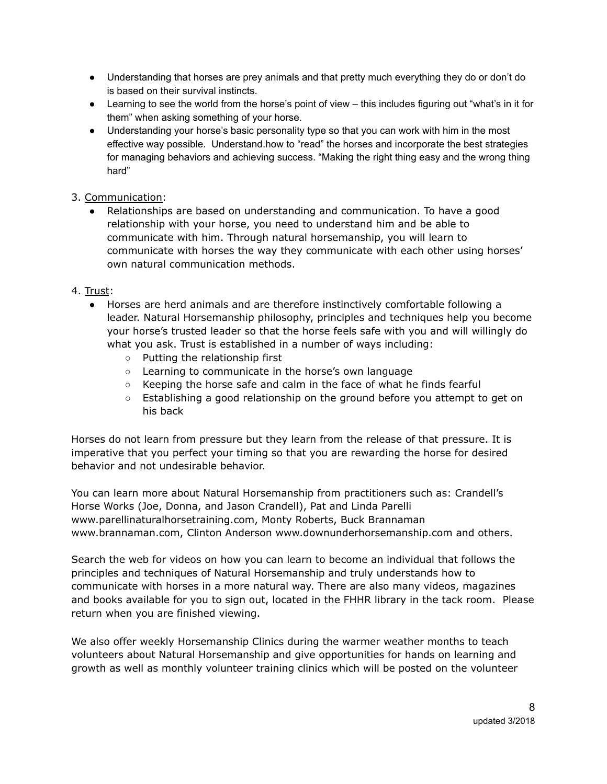- Understanding that horses are prey animals and that pretty much everything they do or don't do is based on their survival instincts.
- Learning to see the world from the horse's point of view this includes figuring out "what's in it for them" when asking something of your horse.
- Understanding your horse's basic personality type so that you can work with him in the most effective way possible. Understand.how to "read" the horses and incorporate the best strategies for managing behaviors and achieving success. "Making the right thing easy and the wrong thing hard"

## 3. Communication:

● Relationships are based on understanding and communication. To have a good relationship with your horse, you need to understand him and be able to communicate with him. Through natural horsemanship, you will learn to communicate with horses the way they communicate with each other using horses' own natural communication methods.

## 4. Trust:

- Horses are herd animals and are therefore instinctively comfortable following a leader. Natural Horsemanship philosophy, principles and techniques help you become your horse's trusted leader so that the horse feels safe with you and will willingly do what you ask. Trust is established in a number of ways including:
	- Putting the relationship first
	- Learning to communicate in the horse's own language
	- Keeping the horse safe and calm in the face of what he finds fearful
	- Establishing a good relationship on the ground before you attempt to get on his back

Horses do not learn from pressure but they learn from the release of that pressure. It is imperative that you perfect your timing so that you are rewarding the horse for desired behavior and not undesirable behavior.

You can learn more about Natural Horsemanship from practitioners such as: Crandell's Horse Works (Joe, Donna, and Jason Crandell), Pat and Linda Parelli www.parellinaturalhorsetraining.com, Monty Roberts, Buck Brannaman www.brannaman.com, Clinton Anderson www.downunderhorsemanship.com and others.

Search the web for videos on how you can learn to become an individual that follows the principles and techniques of Natural Horsemanship and truly understands how to communicate with horses in a more natural way. There are also many videos, magazines and books available for you to sign out, located in the FHHR library in the tack room. Please return when you are finished viewing.

We also offer weekly Horsemanship Clinics during the warmer weather months to teach volunteers about Natural Horsemanship and give opportunities for hands on learning and growth as well as monthly volunteer training clinics which will be posted on the volunteer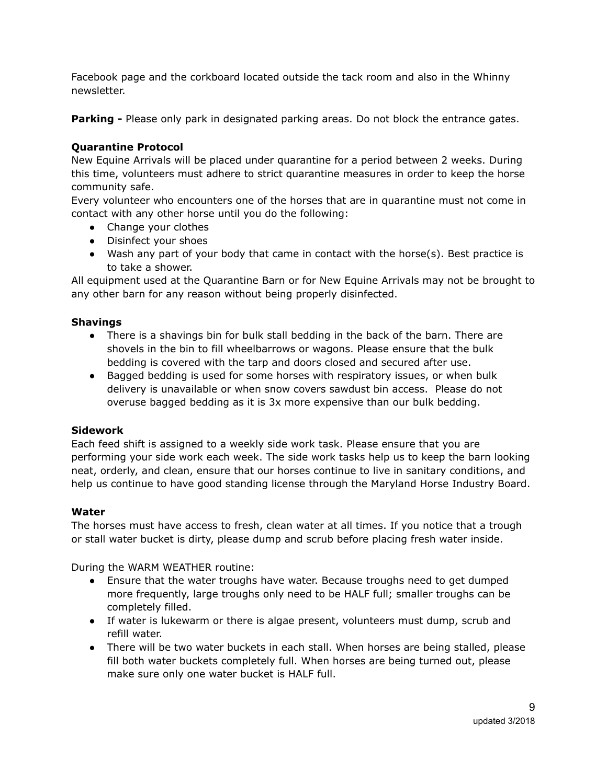Facebook page and the corkboard located outside the tack room and also in the Whinny newsletter.

**Parking** - Please only park in designated parking areas. Do not block the entrance gates.

# **Quarantine Protocol**

New Equine Arrivals will be placed under quarantine for a period between 2 weeks. During this time, volunteers must adhere to strict quarantine measures in order to keep the horse community safe.

Every volunteer who encounters one of the horses that are in quarantine must not come in contact with any other horse until you do the following:

- Change your clothes
- Disinfect your shoes
- Wash any part of your body that came in contact with the horse(s). Best practice is to take a shower.

All equipment used at the Quarantine Barn or for New Equine Arrivals may not be brought to any other barn for any reason without being properly disinfected.

## **Shavings**

- There is a shavings bin for bulk stall bedding in the back of the barn. There are shovels in the bin to fill wheelbarrows or wagons. Please ensure that the bulk bedding is covered with the tarp and doors closed and secured after use.
- Bagged bedding is used for some horses with respiratory issues, or when bulk delivery is unavailable or when snow covers sawdust bin access. Please do not overuse bagged bedding as it is 3x more expensive than our bulk bedding.

# **Sidework**

Each feed shift is assigned to a weekly side work task. Please ensure that you are performing your side work each week. The side work tasks help us to keep the barn looking neat, orderly, and clean, ensure that our horses continue to live in sanitary conditions, and help us continue to have good standing license through the Maryland Horse Industry Board.

# **Water**

The horses must have access to fresh, clean water at all times. If you notice that a trough or stall water bucket is dirty, please dump and scrub before placing fresh water inside.

During the WARM WEATHER routine:

- Ensure that the water troughs have water. Because troughs need to get dumped more frequently, large troughs only need to be HALF full; smaller troughs can be completely filled.
- If water is lukewarm or there is algae present, volunteers must dump, scrub and refill water.
- There will be two water buckets in each stall. When horses are being stalled, please fill both water buckets completely full. When horses are being turned out, please make sure only one water bucket is HALF full.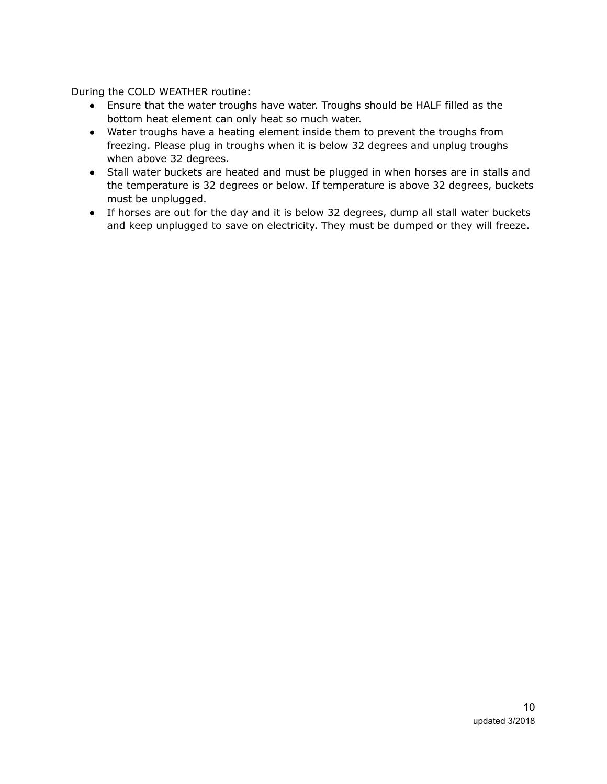During the COLD WEATHER routine:

- Ensure that the water troughs have water. Troughs should be HALF filled as the bottom heat element can only heat so much water.
- Water troughs have a heating element inside them to prevent the troughs from freezing. Please plug in troughs when it is below 32 degrees and unplug troughs when above 32 degrees.
- Stall water buckets are heated and must be plugged in when horses are in stalls and the temperature is 32 degrees or below. If temperature is above 32 degrees, buckets must be unplugged.
- If horses are out for the day and it is below 32 degrees, dump all stall water buckets and keep unplugged to save on electricity. They must be dumped or they will freeze.